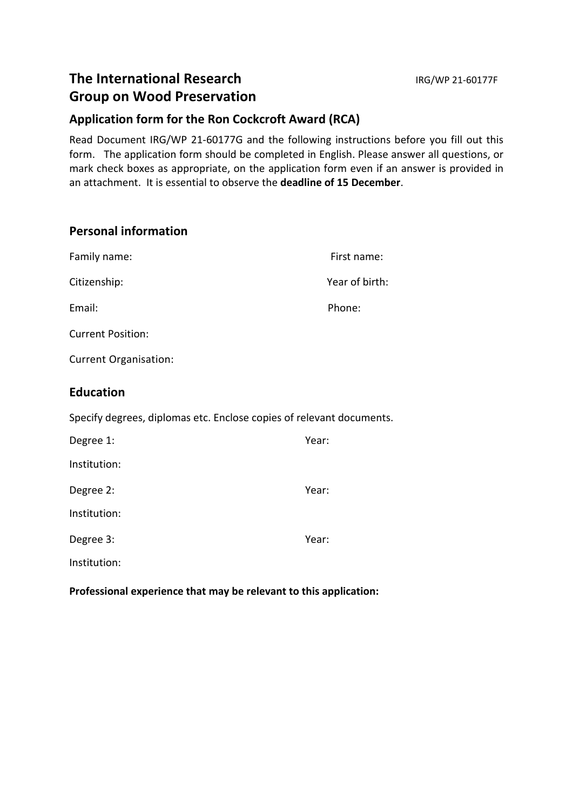# **Application form for the Ron Cockcroft Award (RCA)**

Read Document IRG/WP 21-60177G and the following instructions before you fill out this form. The application form should be completed in English. Please answer all questions, or mark check boxes as appropriate, on the application form even if an answer is provided in an attachment. It is essential to observe the **deadline of 15 December**.

# **Personal information**

| Family name:                 | First name:    |
|------------------------------|----------------|
| Citizenship:                 | Year of birth: |
| Email:                       | Phone:         |
| <b>Current Position:</b>     |                |
| <b>Current Organisation:</b> |                |

## **Education**

Specify degrees, diplomas etc. Enclose copies of relevant documents.

| Degree 1:    | Year: |  |
|--------------|-------|--|
| Institution: |       |  |
| Degree 2:    | Year: |  |
| Institution: |       |  |
| Degree 3:    | Year: |  |
| Institution: |       |  |

**Professional experience that may be relevant to this application:**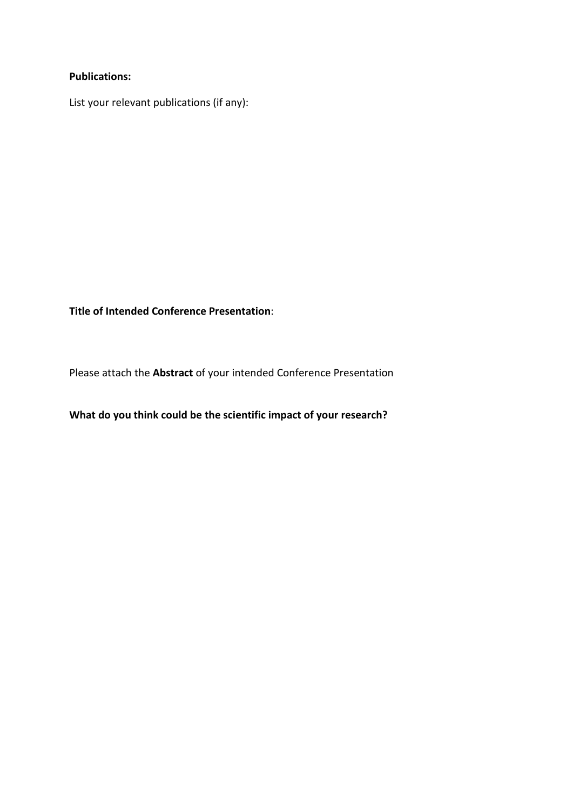#### **Publications:**

I

I

I

.<br>r

List your relevant publications (if any):

**Title of Intended Conference Presentation**:

Please attach the **Abstract** of your intended Conference Presentation

### **What do you think could be the scientific impact of your research?**